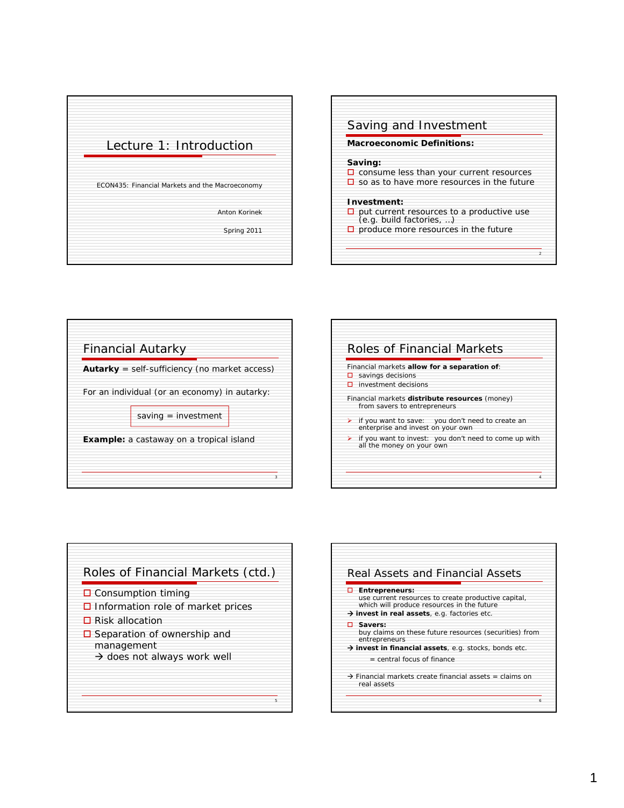